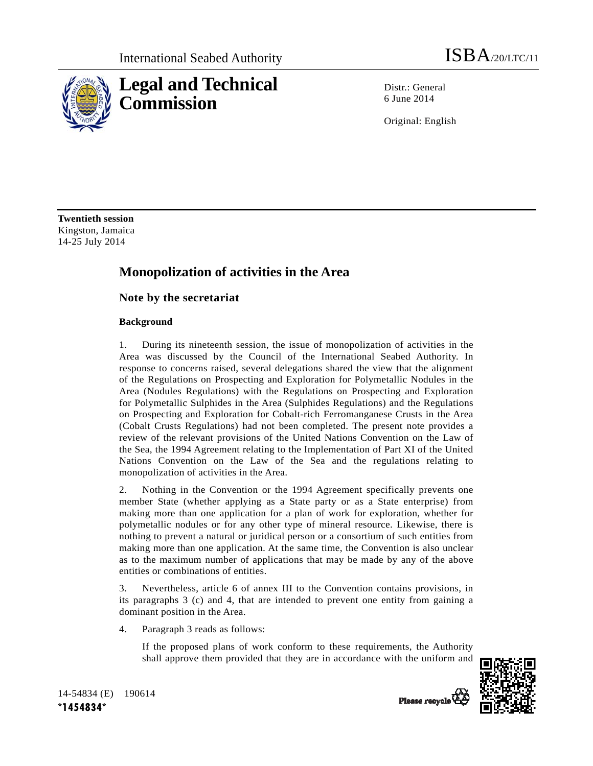

Distr.: General 6 June 2014

Original: English

**Twentieth session**  Kingston, Jamaica 14-25 July 2014

# **Monopolization of activities in the Area**

## **Note by the secretariat**

### **Background**

1. During its nineteenth session, the issue of monopolization of activities in the Area was discussed by the Council of the International Seabed Authority. In response to concerns raised, several delegations shared the view that the alignment of the Regulations on Prospecting and Exploration for Polymetallic Nodules in the Area (Nodules Regulations) with the Regulations on Prospecting and Exploration for Polymetallic Sulphides in the Area (Sulphides Regulations) and the Regulations on Prospecting and Exploration for Cobalt-rich Ferromanganese Crusts in the Area (Cobalt Crusts Regulations) had not been completed. The present note provides a review of the relevant provisions of the United Nations Convention on the Law of the Sea, the 1994 Agreement relating to the Implementation of Part XI of the United Nations Convention on the Law of the Sea and the regulations relating to monopolization of activities in the Area.

2. Nothing in the Convention or the 1994 Agreement specifically prevents one member State (whether applying as a State party or as a State enterprise) from making more than one application for a plan of work for exploration, whether for polymetallic nodules or for any other type of mineral resource. Likewise, there is nothing to prevent a natural or juridical person or a consortium of such entities from making more than one application. At the same time, the Convention is also unclear as to the maximum number of applications that may be made by any of the above entities or combinations of entities.

3. Nevertheless, article 6 of annex III to the Convention contains provisions, in its paragraphs 3 (c) and 4, that are intended to prevent one entity from gaining a dominant position in the Area.

4. Paragraph 3 reads as follows:

 If the proposed plans of work conform to these requirements, the Authority shall approve them provided that they are in accordance with the uniform and



14-54834 (E) 190614 **\*1454834\*** 

Please recycle<sup>Q</sup>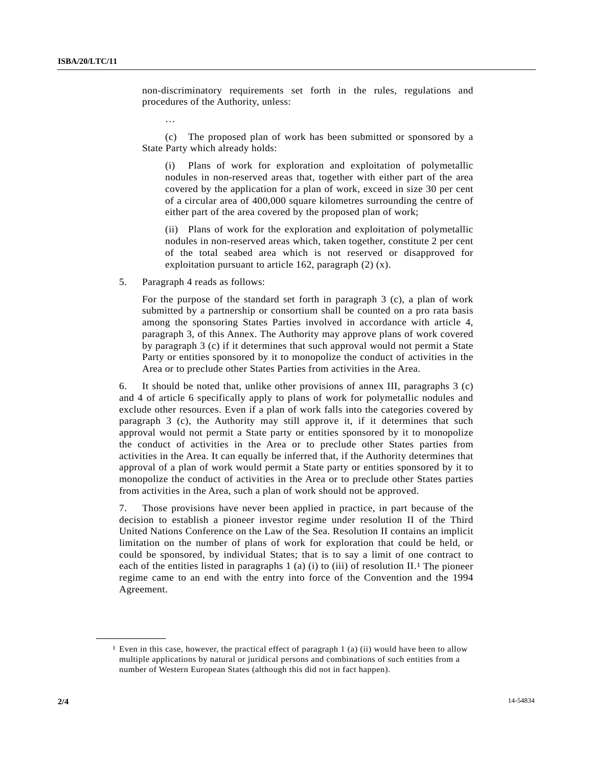non-discriminatory requirements set forth in the rules, regulations and procedures of the Authority, unless:

…

 (c) The proposed plan of work has been submitted or sponsored by a State Party which already holds:

 (i) Plans of work for exploration and exploitation of polymetallic nodules in non-reserved areas that, together with either part of the area covered by the application for a plan of work, exceed in size 30 per cent of a circular area of 400,000 square kilometres surrounding the centre of either part of the area covered by the proposed plan of work;

 (ii) Plans of work for the exploration and exploitation of polymetallic nodules in non-reserved areas which, taken together, constitute 2 per cent of the total seabed area which is not reserved or disapproved for exploitation pursuant to article 162, paragraph (2) (x).

5. Paragraph 4 reads as follows:

 For the purpose of the standard set forth in paragraph 3 (c), a plan of work submitted by a partnership or consortium shall be counted on a pro rata basis among the sponsoring States Parties involved in accordance with article 4, paragraph 3, of this Annex. The Authority may approve plans of work covered by paragraph 3 (c) if it determines that such approval would not permit a State Party or entities sponsored by it to monopolize the conduct of activities in the Area or to preclude other States Parties from activities in the Area.

6. It should be noted that, unlike other provisions of annex III, paragraphs 3 (c) and 4 of article 6 specifically apply to plans of work for polymetallic nodules and exclude other resources. Even if a plan of work falls into the categories covered by paragraph 3 (c), the Authority may still approve it, if it determines that such approval would not permit a State party or entities sponsored by it to monopolize the conduct of activities in the Area or to preclude other States parties from activities in the Area. It can equally be inferred that, if the Authority determines that approval of a plan of work would permit a State party or entities sponsored by it to monopolize the conduct of activities in the Area or to preclude other States parties from activities in the Area, such a plan of work should not be approved.

7. Those provisions have never been applied in practice, in part because of the decision to establish a pioneer investor regime under resolution II of the Third United Nations Conference on the Law of the Sea. Resolution II contains an implicit limitation on the number of plans of work for exploration that could be held, or could be sponsored, by individual States; that is to say a limit of one contract to each of the entities listed in paragraphs 1 (a) (i) to (iii) of resolution  $II<sup>1</sup>$ . The pioneer regime came to an end with the entry into force of the Convention and the 1994 Agreement.

**\_\_\_\_\_\_\_\_\_\_\_\_\_\_\_\_\_\_** 

<sup>&</sup>lt;sup>1</sup> Even in this case, however, the practical effect of paragraph 1 (a) (ii) would have been to allow multiple applications by natural or juridical persons and combinations of such entities from a number of Western European States (although this did not in fact happen).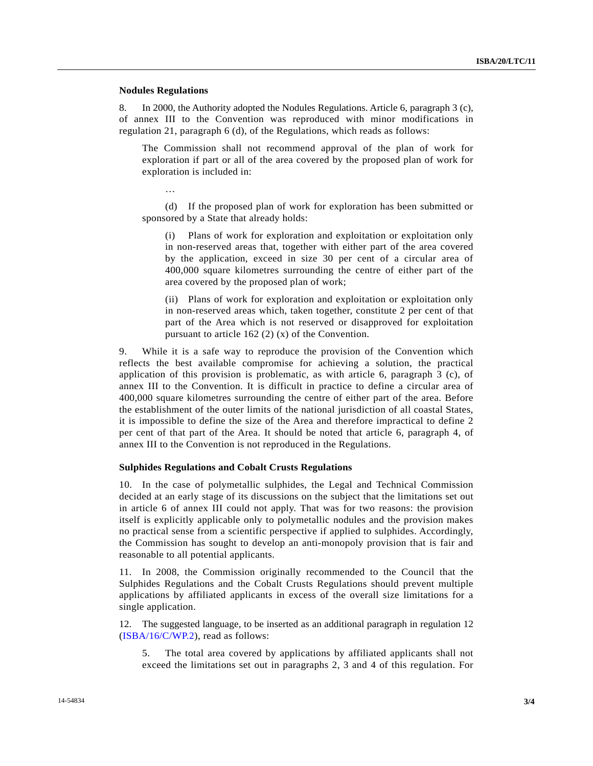#### **Nodules Regulations**

8. In 2000, the Authority adopted the Nodules Regulations. Article 6, paragraph 3 (c), of annex III to the Convention was reproduced with minor modifications in regulation 21, paragraph 6 (d), of the Regulations, which reads as follows:

 The Commission shall not recommend approval of the plan of work for exploration if part or all of the area covered by the proposed plan of work for exploration is included in:

 (d) If the proposed plan of work for exploration has been submitted or sponsored by a State that already holds:

 (i) Plans of work for exploration and exploitation or exploitation only in non-reserved areas that, together with either part of the area covered by the application, exceed in size 30 per cent of a circular area of 400,000 square kilometres surrounding the centre of either part of the area covered by the proposed plan of work;

 (ii) Plans of work for exploration and exploitation or exploitation only in non-reserved areas which, taken together, constitute 2 per cent of that part of the Area which is not reserved or disapproved for exploitation pursuant to article 162 (2) (x) of the Convention.

9. While it is a safe way to reproduce the provision of the Convention which reflects the best available compromise for achieving a solution, the practical application of this provision is problematic, as with article 6, paragraph 3 (c), of annex III to the Convention. It is difficult in practice to define a circular area of 400,000 square kilometres surrounding the centre of either part of the area. Before the establishment of the outer limits of the national jurisdiction of all coastal States, it is impossible to define the size of the Area and therefore impractical to define 2 per cent of that part of the Area. It should be noted that article 6, paragraph 4, of annex III to the Convention is not reproduced in the Regulations.

#### **Sulphides Regulations and Cobalt Crusts Regulations**

10. In the case of polymetallic sulphides, the Legal and Technical Commission decided at an early stage of its discussions on the subject that the limitations set out in article 6 of annex III could not apply. That was for two reasons: the provision itself is explicitly applicable only to polymetallic nodules and the provision makes no practical sense from a scientific perspective if applied to sulphides. Accordingly, the Commission has sought to develop an anti-monopoly provision that is fair and reasonable to all potential applicants.

11. In 2008, the Commission originally recommended to the Council that the Sulphides Regulations and the Cobalt Crusts Regulations should prevent multiple applications by affiliated applicants in excess of the overall size limitations for a single application.

12. The suggested language, to be inserted as an additional paragraph in regulation 12 (ISBA/16/C/WP.2), read as follows:

 5. The total area covered by applications by affiliated applicants shall not exceed the limitations set out in paragraphs 2, 3 and 4 of this regulation. For